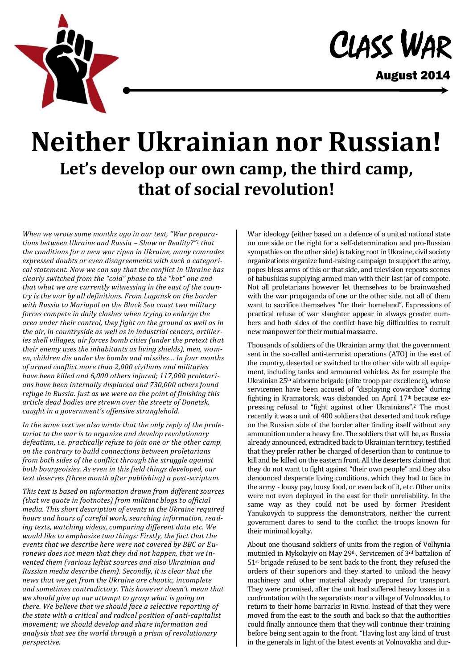

August 2014

## **Neither Ukrainian nor Russian! Let's develop our own camp, the third camp, that of social revolution!**

*When we wrote some months ago in our text, "War preparations between Ukraine and Russia – Show or Reality?"<sup>1</sup> that the conditions for a new war ripen in Ukraine, many comrades expressed doubts or even disagreements with such a categorical statement. Now we can say that the conflict in Ukraine has clearly switched from the "cold" phase to the "hot" one and that what we are currently witnessing in the east of the country is the war by all definitions. From Lugansk on the border with Russia to Mariupol on the Black Sea coast two military forces compete in daily clashes when trying to enlarge the area under their control, they fight on the ground as well as in the air, in countryside as well as in industrial centers, artilleries shell villages, air forces bomb cities (under the pretext that their enemy uses the inhabitants as living shields), men, women, children die under the bombs and missiles… In four months of armed conflict more than 2,000 civilians and militaries have been killed and 6,000 others injured; 117,000 proletarians have been internally displaced and 730,000 others found refuge in Russia. Just as we were on the point of finishing this article dead bodies are strewn over the streets of Donetsk, caught in a government's offensive stranglehold.*

*In the same text we also wrote that the only reply of the proletariat to the war is to organize and develop revolutionary defeatism, i.e. practically refuse to join one or the other camp, on the contrary to build connections between proletarians from both sides of the conflict through the struggle against both bourgeoisies. As even in this field things developed, our text deserves (three month after publishing) a post-scriptum.*

*This text is based on information drawn from different sources (that we quote in footnotes) from militant blogs to official media. This short description of events in the Ukraine required hours and hours of careful work, searching information, reading texts, watching videos, comparing different data etc. We would like to emphasize two things: Firstly, the fact that the events that we describe here were not covered by BBC or Euronews does not mean that they did not happen, that we invented them (various leftist sources and also Ukrainian and Russian media describe them). Secondly, it is clear that the news that we get from the Ukraine are chaotic, incomplete and sometimes contradictory. This however doesn't mean that we should give up our attempt to grasp what is going on there. We believe that we should face a selective reporting of the state with a critical and radical position of anti-capitalist movement; we should develop and share information and analysis that see the world through a prism of revolutionary perspective.*

War ideology (either based on a defence of a united national state on one side or the right for a self-determination and pro-Russian sympathies on the other side) is taking root in Ukraine, civil society organizations organize fund-raising campaign to support the army, popes bless arms of this or that side, and television repeats scenes of babushkas supplying armed man with their last jar of compote. Not all proletarians however let themselves to be brainwashed with the war propaganda of one or the other side, not all of them want to sacrifice themselves "for their homeland". Expressions of practical refuse of war slaughter appear in always greater numbers and both sides of the conflict have big difficulties to recruit new manpower for their mutual massacre.

Thousands of soldiers of the Ukrainian army that the government sent in the so-called anti-terrorist operations (ATO) in the east of the country, deserted or switched to the other side with all equipment, including tanks and armoured vehicles. As for example the Ukrainian 25th airborne brigade (elite troop par excellence), whose servicemen have been accused of "displaying cowardice" during fighting in Kramatorsk, was disbanded on April 17<sup>th</sup> because expressing refusal to "fight against other Ukrainians".<sup>2</sup> The most recently it was a unit of 400 soldiers that deserted and took refuge on the Russian side of the border after finding itself without any ammunition under a heavy fire. The soldiers that will be, as Russia already announced, extradited back to Ukrainian territory, testified that they prefer rather be charged of desertion than to continue to kill and be killed on the eastern front. All the deserters claimed that they do not want to fight against "their own people" and they also denounced desperate living conditions, which they had to face in the army - lousy pay, lousy food, or even lack of it, etc. Other units were not even deployed in the east for their unreliability. In the same way as they could not be used by former President Yanukovych to suppress the demonstrators, neither the current government dares to send to the conflict the troops known for their minimal loyalty.

About one thousand soldiers of units from the region of Volhynia mutinied in Mykolayiv on May 29<sup>th</sup>. Servicemen of 3<sup>rd</sup> battalion of 51st brigade refused to be sent back to the front, they refused the orders of their superiors and they started to unload the heavy machinery and other material already prepared for transport. They were promised, after the unit had suffered heavy losses in a confrontation with the separatists near a village of Volnovakha, to return to their home barracks in Rivno. Instead of that they were moved from the east to the south and back so that the authorities could finally announce them that they will continue their training before being sent again to the front. "Having lost any kind of trust in the generals in light of the latest events at Volnovakha and dur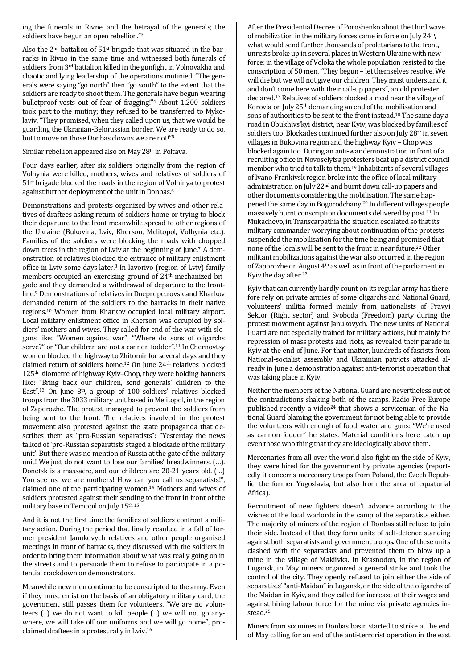ing the funerals in Rivne, and the betrayal of the generals; the soldiers have begun an open rebellion."<sup>3</sup>

Also the  $2<sup>nd</sup>$  battalion of  $51<sup>st</sup>$  brigade that was situated in the barracks in Rivno in the same time and witnessed both funerals of soldiers from 3<sup>rd</sup> battalion killed in the gunfight in Volnovakha and chaotic and lying leadership of the operations mutinied. "The generals were saying "go north" then "go south" to the extent that the soldiers are ready to shoot them. The generals have begun wearing bulletproof vests out of fear of fragging!"<sup>4</sup> About 1,200 soldiers took part to the mutiny; they refused to be transferred to Mykolayiv. "They promised, when they called upon us, that we would be guarding the Ukranian-Belorussian border. We are ready to do so, but to move on those Donbas clowns we are not!"<sup>5</sup>

Similar rebellion appeared also on May 28th in Poltava.

Four days earlier, after six soldiers originally from the region of Volhynia were killed, mothers, wives and relatives of soldiers of 51st brigade blocked the roads in the region of Volhinya to protest against further deployment of the unit in Donbas.<sup>6</sup>

Demonstrations and protests organized by wives and other relatives of draftees asking return of soldiers home or trying to block their departure to the front meanwhile spread to other regions of the Ukraine (Bukovina, Lviv, Kherson, Melitopol, Volhynia etc.). Families of the soldiers were blocking the roads with chopped down trees in the region of Lviv at the beginning of June.<sup>7</sup> A demonstration of relatives blocked the entrance of military enlistment office in Lviv some days later.<sup>8</sup> In Iavorivo (region of Lviv) family members occupied an exercising ground of 24<sup>th</sup> mechanized brigade and they demanded a withdrawal of departure to the frontline.<sup>9</sup> Demonstrations of relatives in Dnepropetrovsk and Kharkov demanded return of the soldiers to the barracks in their native regions.<sup>10</sup> Women from Kharkov occupied local military airport. Local military enlistment office in Kherson was occupied by soldiers' mothers and wives. They called for end of the war with slogans like: "Women against war", "Where do sons of oligarchs serve?" or "Our children are not a cannon fodder".<sup>11</sup> In Chernovtsy women blocked the highway to Zhitomir for several days and they claimed return of soldiers home.<sup>12</sup> On June 24<sup>th</sup> relatives blocked 125th kilometre of highway Kyiv–Chop, they were holding banners like: "Bring back our children, send generals' children to the East".<sup>13</sup> On June 8th, a group of 100 soldiers' relatives blocked troops from the 3033 military unit based in Melitopol, in the region of Zaporozhe. The protest managed to prevent the soldiers from being sent to the front. The relatives involved in the protest movement also protested against the state propaganda that describes them as "pro-Russian separatists": "Yesterday the news talked of 'pro-Russian separatists staged a blockade of the military unit'. But there was no mention of Russia at the gate of the military unit! We just do not want to lose our families' breadwinners. (…). Donetsk is a massacre, and our children are 20-21 years old. (…) You see us, we are mothers! How can you call us separatists!", claimed one of the participating women.<sup>14</sup> Mothers and wives of soldiers protested against their sending to the front in front of the military base in Ternopil on July 15<sup>th</sup>.<sup>15</sup>

And it is not the first time the families of soldiers confront a military action. During the period that finally resulted in a fall of former president Janukovych relatives and other people organised meetings in front of barracks, they discussed with the soldiers in order to bring them information about what was really going on in the streets and to persuade them to refuse to participate in a potential crackdown on demonstrators.

Meanwhile new men continue to be conscripted to the army. Even if they must enlist on the basis of an obligatory military card, the government still passes them for volunteers. "We are no volunteers (...) we do not want to kill people (...) we will not go anywhere, we will take off our uniforms and we will go home", proclaimed draftees in a protest rally in Lviv.<sup>16</sup>

After the Presidential Decree of Poroshenko about the third wave of mobilization in the military forces came in force on July 24<sup>th</sup>, what would send further thousands of proletarians to the front, unrests broke up in several places in Western Ukraine with new force: in the village of Voloka the whole population resisted to the conscription of 50 men. "They begun – let themselves resolve. We will die but we will not give our children. They must understand it and don't come here with their call-up papers", an old protester declared.<sup>17</sup> Relatives of soldiers blocked a road near the village of Korovia on July 25<sup>th</sup> demanding an end of the mobilisation and sons of authorities to be sent to the front instead.<sup>18</sup> The same day a road in Obukhivs'kyi district, near Kyiv, was blocked by families of soldiers too. Blockades continued further also on July 28<sup>th</sup> in seven villages in Bukovina region and the highway Kyiv – Chop was blocked again too. During an anti-war demonstration in front of a recruiting office in Novoselytsa protesters beat up a district council member who tried to talk to them.<sup>19</sup> Inhabitants of several villages of Ivano-Frankivsk region broke into the office of local military administration on July 22nd and burnt down call-up papers and other documents considering the mobilisation. The same happened the same day in Bogorodchany.<sup>20</sup> In different villages people massively burnt conscription documents delivered by post.<sup>21</sup> In Mukachevo, in Transcarpathia the situation escalated so that its military commander worrying about continuation of the protests suspended the mobilisation for the time being and promised that none of the locals will be sent to the front in near future.<sup>22</sup> Other militant mobilizations against the war also occurred in the region of Zaporozhe on August 4<sup>th</sup> as well as in front of the parliament in Kyiv the day after.<sup>23</sup>

Kyiv that can currently hardly count on its regular army has therefore rely on private armies of some oligarchs and National Guard, volunteers' militia formed mainly from nationalists of Pravyi Sektor (Right sector) and Svoboda (Freedom) party during the protest movement against Janukovych. The new units of National Guard are not especially trained for military actions, but mainly for repression of mass protests and riots, as revealed their parade in Kyiv at the end of June. For that matter, hundreds of fascists from National-socialist assembly and Ukrainian patriots attacked already in June a demonstration against anti-terrorist operation that was taking place in Kyiv.

Neither the members of the National Guard are nevertheless out of the contradictions shaking both of the camps. Radio Free Europe published recently a video<sup>24</sup> that shows a serviceman of the National Guard blaming the government for not being able to provide the volunteers with enough of food, water and guns: "We're used as cannon fodder" he states. Material conditions here catch up even those who thing that they are ideologically above them.

Mercenaries from all over the world also fight on the side of Kyiv, they were hired for the government by private agencies (reportedly it concerns mercenary troops from Poland, the Czech Republic, the former Yugoslavia, but also from the area of equatorial Africa).

Recruitment of new fighters doesn't advance according to the wishes of the local warlords in the camp of the separatists either. The majority of miners of the region of Donbas still refuse to join their side. Instead of that they form units of self-defence standing against both separatists and government troops. One of these units clashed with the separatists and prevented them to blow up a mine in the village of Makiivka. In Krasnodon, in the region of Lugansk, in May miners organized a general strike and took the control of the city. They openly refused to join either the side of separatists' "anti-Maidan" in Lugansk, or the side of the oligarchs of the Maidan in Kyiv, and they called for increase of their wages and against hiring labour force for the mine via private agencies instead.<sup>25</sup>

Miners from six mines in Donbas basin started to strike at the end of May calling for an end of the anti-terrorist operation in the east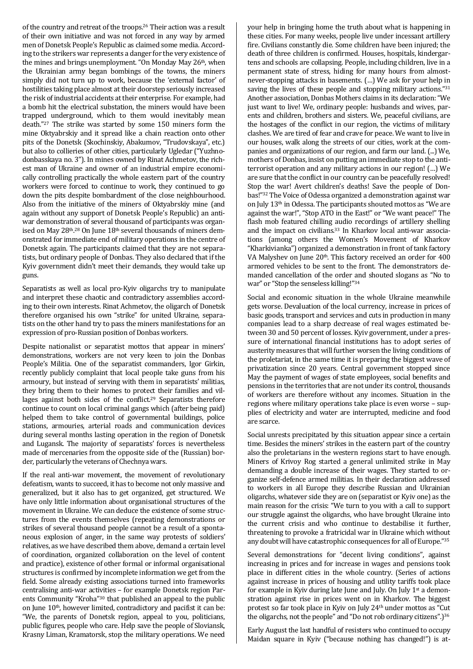of the country and retreat of the troops.<sup>26</sup> Their action was a result of their own initiative and was not forced in any way by armed men of Donetsk People's Republic as claimed some media. According to the strikers war represents a danger for the very existence of the mines and brings unemployment. "On Monday May 26<sup>th</sup>, when the Ukrainian army began bombings of the towns, the miners simply did not turn up to work, because the 'external factor' of hostilities taking place almost at their doorstep seriously increased the risk of industrial accidents at their enterprise. For example, had a bomb hit the electrical substation, the miners would have been trapped underground, which to them would inevitably mean death."<sup>27</sup> The strike was started by some 150 miners form the mine Oktyabrskiy and it spread like a chain reaction onto other pits of the Donetsk (Skochinskiy, Abakumov, "Trudovskaya", etc.) but also to collieries of other cities, particularly Ugledar ("Yuzhnodonbasskaya no. 3"). In mines owned by Rinat Achmetov, the richest man of Ukraine and owner of an industrial empire economically controlling practically the whole eastern part of the country workers were forced to continue to work, they continued to go down the pits despite bombardment of the close neighbourhood. Also from the initiative of the miners of Oktyabrskiy mine (and again without any support of Donetsk People's Republic) an antiwar demonstration of several thousand of participants was organised on May  $28<sup>th,28</sup>$  On June  $18<sup>th</sup>$  several thousands of miners demonstrated for immediate end of military operations in the centre of Donetsk again. The participants claimed that they are not separatists, but ordinary people of Donbas. They also declared that if the Kyiv government didn't meet their demands, they would take up guns.

Separatists as well as local pro-Kyiv oligarchs try to manipulate and interpret these chaotic and contradictory assemblies according to their own interests. Rinat Achmetov, the oligarch of Donetsk therefore organised his own "strike" for united Ukraine, separatists on the other hand try to pass the miners manifestations for an expression of pro-Russian position of Donbas workers.

Despite nationalist or separatist mottos that appear in miners' demonstrations, workers are not very keen to join the Donbas People's Militia. One of the separatist commanders, Igor Girkin, recently publicly complaint that local people take guns from his armoury, but instead of serving with them in separatists' militias, they bring them to their homes to protect their families and villages against both sides of the conflict.<sup>29</sup> Separatists therefore continue to count on local criminal gangs which (after being paid) helped them to take control of governmental buildings, police stations, armouries, arterial roads and communication devices during several months lasting operation in the region of Donetsk and Lugansk. The majority of separatists' forces is nevertheless made of mercenaries from the opposite side of the (Russian) border, particularly the veterans of Chechnya wars.

If the real anti-war movement, the movement of revolutionary defeatism, wants to succeed, it has to become not only massive and generalized, but it also has to get organized, get structured. We have only little information about organisational structures of the movement in Ukraine. We can deduce the existence of some structures from the events themselves (repeating demonstrations or strikes of several thousand people cannot be a result of a spontaneous explosion of anger, in the same way protests of soldiers' relatives, as we have described them above, demand a certain level of coordination, organized collaboration on the level of content and practice), existence of other formal or informal organisational structures is confirmed by incomplete information we get from the field. Some already existing associations turned into frameworks centralising anti-war activities – for example Donetsk region Parents Community "Kroha"<sup>30</sup> that published an appeal to the public on June  $10<sup>th</sup>$ , however limited, contradictory and pacifist it can be: "We, the parents of Donetsk region, appeal to you, politicians, public figures, people who care. Help save the people of Sloviansk, Krasny Liman, Kramatorsk, stop the military operations. We need your help in bringing home the truth about what is happening in these cities. For many weeks, people live under incessant artillery fire. Civilians constantly die. Some children have been injured; the death of three children is confirmed. Houses, hospitals, kindergartens and schools are collapsing. People, including children, live in a permanent state of stress, hiding for many hours from almostnever-stopping attacks in basements. (…) We ask for your help in saving the lives of these people and stopping military actions."<sup>31</sup> Another association, Donbas Mothers claims in its declaration: "We just want to live! We, ordinary people: husbands and wives, parents and children, brothers and sisters. We, peaceful civilians, are the hostages of the conflict in our region, the victims of military clashes. We are tired of fear and crave for peace. We want to live in our houses, walk along the streets of our cities, work at the companies and organizations of our region, and farm our land. (...) We, mothers of Donbas, insist on putting an immediate stop to the antiterrorist operation and any military actions in our region! (…) We are sure that the conflict in our country can be peacefully resolved! Stop the war! Avert children's deaths! Save the people of Donbas!"<sup>32</sup> The Voice of Odessa organized a demonstration against war on July 13th in Odessa. The participants shouted mottos as "We are against the war!", "Stop ATO in the East!" or "We want peace!" The flash mob featured chilling audio recordings of artillery shelling and the impact on civilians.<sup>33</sup> In Kharkov local anti-war associations (among others the Women's Movement of Kharkov "Kharkivianka") organized a demonstration in front of tank factory VA Malyshev on June 20<sup>th</sup>. This factory received an order for 400 armored vehicles to be sent to the front. The demonstrators demanded cancellation of the order and shouted slogans as "No to war" or "Stop the senseless killing!"<sup>34</sup>

Social and economic situation in the whole Ukraine meanwhile gets worse. Devaluation of the local currency, increase in prices of basic goods, transport and services and cuts in production in many companies lead to a sharp decrease of real wages estimated between 30 and 50 percent of losses. Kyiv government, under a pressure of international financial institutions has to adopt series of austerity measures that will further worsen the living conditions of the proletariat, in the same time it is preparing the biggest wave of privatization since 20 years. Central government stopped since May the payment of wages of state employees, social benefits and pensions in the territories that are not under its control, thousands of workers are therefore without any incomes. Situation in the regions where military operations take place is even worse – supplies of electricity and water are interrupted, medicine and food are scarce.

Social unrests precipitated by this situation appear since a certain time. Besides the miners' strikes in the eastern part of the country also the proletarians in the western regions start to have enough. Miners of Krivoy Rog started a general unlimited strike in May demanding a double increase of their wages. They started to organize self-defence armed militias. In their declaration addressed to workers in all Europe they describe Russian and Ukrainian oligarchs, whatever side they are on (separatist or Kyiv one) as the main reason for the crisis: "We turn to you with a call to support our struggle against the oligarchs, who have brought Ukraine into the current crisis and who continue to destabilise it further, threatening to provoke a fratricidal war in Ukraine which without any doubt will have catastrophic consequences for all of Europe."<sup>35</sup>

Several demonstrations for "decent living conditions", against increasing in prices and for increase in wages and pensions took place in different cities in the whole country. (Series of actions against increase in prices of housing and utility tariffs took place for example in Kyiv during late June and July. On July  $1<sup>st</sup>$  a demonstration against rise in prices went on in Kharkov. The biggest protest so far took place in Kyiv on July 24<sup>th</sup> under mottos as "Cut the oligarchs, not the people" and "Do not rob ordinary citizens".)<sup>36</sup>

Early August the last handful of resisters who continued to occupy Maidan square in Kyiv ("because nothing has changed!") is at